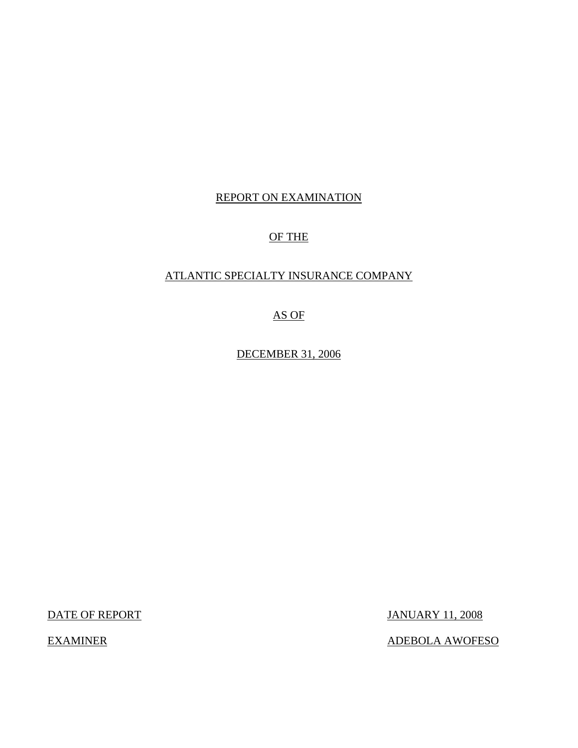## REPORT ON EXAMINATION

## OF THE

## ATLANTIC SPECIALTY INSURANCE COMPANY

AS OF

DECEMBER 31, 2006

DATE OF REPORT JANUARY 11, 2008

EXAMINER ADEBOLA AWOFESO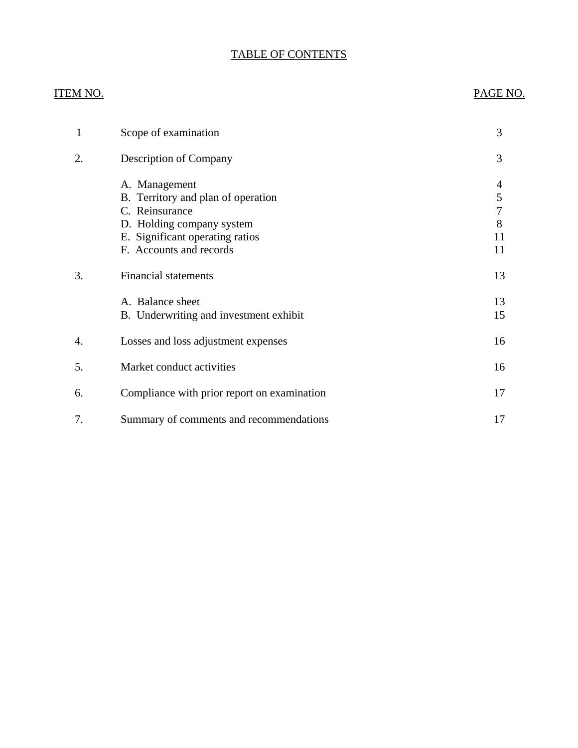# TABLE OF CONTENTS

## ITEM NO. PAGE NO.

| 1  | Scope of examination                                                                                                                                             | 3                            |
|----|------------------------------------------------------------------------------------------------------------------------------------------------------------------|------------------------------|
| 2. | Description of Company                                                                                                                                           | 3                            |
|    | A. Management<br>B. Territory and plan of operation<br>C. Reinsurance<br>D. Holding company system<br>E. Significant operating ratios<br>F. Accounts and records | 4<br>5<br>7<br>8<br>11<br>11 |
| 3. | <b>Financial statements</b>                                                                                                                                      | 13                           |
|    | A. Balance sheet<br>B. Underwriting and investment exhibit                                                                                                       | 13<br>15                     |
| 4. | Losses and loss adjustment expenses                                                                                                                              | 16                           |
| 5. | Market conduct activities                                                                                                                                        | 16                           |
| 6. | Compliance with prior report on examination                                                                                                                      | 17                           |
| 7. | Summary of comments and recommendations                                                                                                                          | 17                           |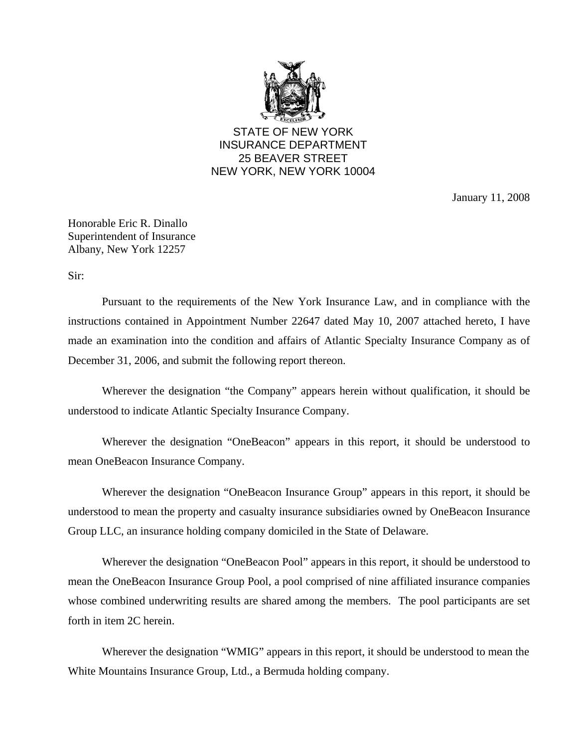

STATE OF NEW YORK INSURANCE DEPARTMENT 25 BEAVER STREET NEW YORK, NEW YORK 10004

January 11, 2008

Honorable Eric R. Dinallo Superintendent of Insurance Albany, New York 12257

Sir:

Pursuant to the requirements of the New York Insurance Law, and in compliance with the instructions contained in Appointment Number 22647 dated May 10, 2007 attached hereto, I have made an examination into the condition and affairs of Atlantic Specialty Insurance Company as of December 31, 2006, and submit the following report thereon.

Wherever the designation "the Company" appears herein without qualification, it should be understood to indicate Atlantic Specialty Insurance Company.

Wherever the designation "OneBeacon" appears in this report, it should be understood to mean OneBeacon Insurance Company.

Wherever the designation "OneBeacon Insurance Group" appears in this report, it should be understood to mean the property and casualty insurance subsidiaries owned by OneBeacon Insurance Group LLC, an insurance holding company domiciled in the State of Delaware.

Wherever the designation "OneBeacon Pool" appears in this report, it should be understood to mean the OneBeacon Insurance Group Pool, a pool comprised of nine affiliated insurance companies whose combined underwriting results are shared among the members. The pool participants are set forth in item 2C herein.

Wherever the designation "WMIG" appears in this report, it should be understood to mean the White Mountains Insurance Group, Ltd., a Bermuda holding company.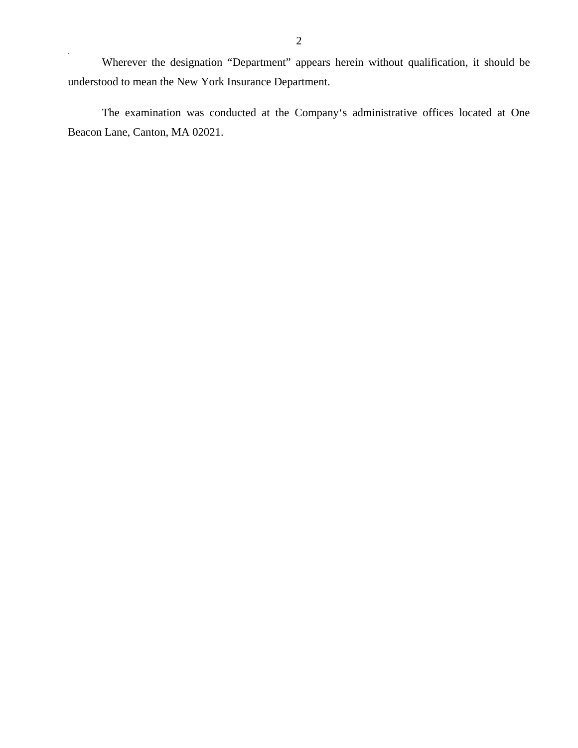Wherever the designation "Department" appears herein without qualification, it should be understood to mean the New York Insurance Department.

The examination was conducted at the Company's administrative offices located at One Beacon Lane, Canton, MA 02021.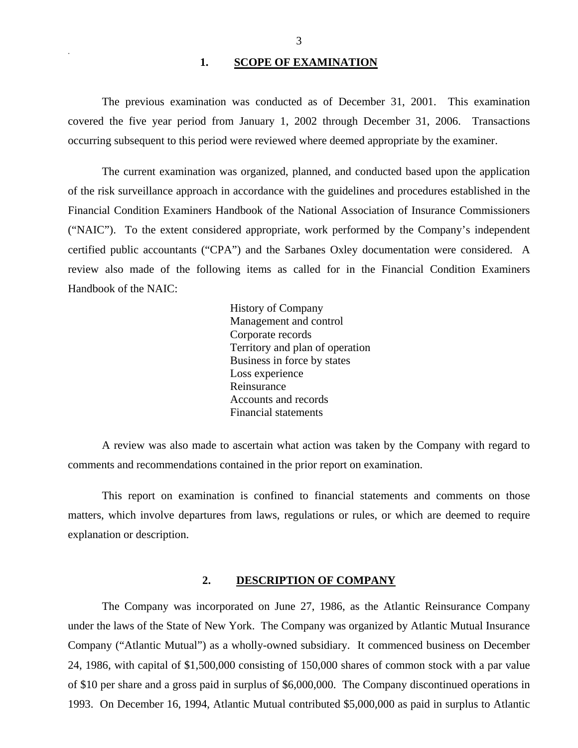#### 1. **SCOPE OF EXAMINATION**

<span id="page-4-0"></span>.

The previous examination was conducted as of December 31, 2001. This examination covered the five year period from January 1, 2002 through December 31, 2006. Transactions occurring subsequent to this period were reviewed where deemed appropriate by the examiner.

The current examination was organized, planned, and conducted based upon the application of the risk surveillance approach in accordance with the guidelines and procedures established in the Financial Condition Examiners Handbook of the National Association of Insurance Commissioners ("NAIC"). To the extent considered appropriate, work performed by the Company's independent certified public accountants ("CPA") and the Sarbanes Oxley documentation were considered. A review also made of the following items as called for in the Financial Condition Examiners Handbook of the NAIC:

> History of Company Management and control Corporate records Territory and plan of operation Business in force by states Loss experience Reinsurance Accounts and records Financial statements

A review was also made to ascertain what action was taken by the Company with regard to comments and recommendations contained in the prior report on examination.

This report on examination is confined to financial statements and comments on those matters, which involve departures from laws, regulations or rules, or which are deemed to require explanation or description.

#### **2. DESCRIPTION OF COMPANY**

The Company was incorporated on June 27, 1986, as the Atlantic Reinsurance Company under the laws of the State of New York. The Company was organized by Atlantic Mutual Insurance Company ("Atlantic Mutual") as a wholly-owned subsidiary. It commenced business on December 24, 1986, with capital of \$1,500,000 consisting of 150,000 shares of common stock with a par value of \$10 per share and a gross paid in surplus of \$6,000,000. The Company discontinued operations in 1993. On December 16, 1994, Atlantic Mutual contributed \$5,000,000 as paid in surplus to Atlantic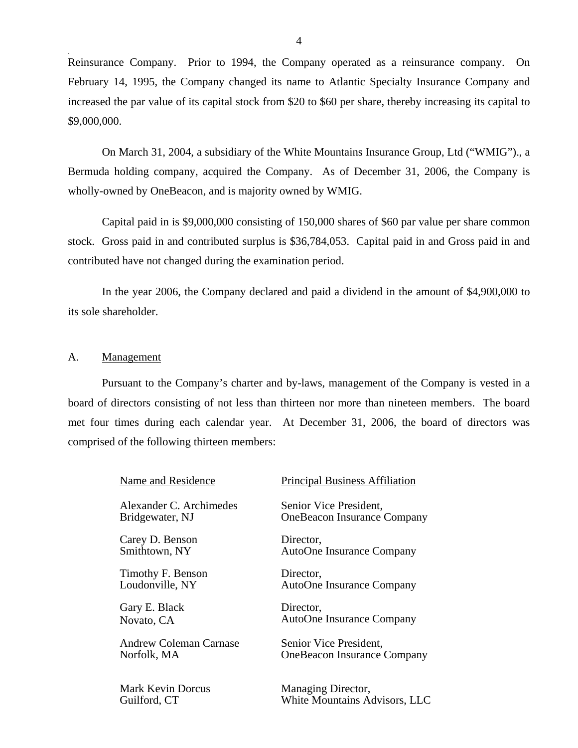<span id="page-5-0"></span>Reinsurance Company. Prior to 1994, the Company operated as a reinsurance company. On February 14, 1995, the Company changed its name to Atlantic Specialty Insurance Company and increased the par value of its capital stock from \$20 to \$60 per share, thereby increasing its capital to \$9,000,000.

On March 31, 2004, a subsidiary of the White Mountains Insurance Group, Ltd ("WMIG")., a Bermuda holding company, acquired the Company. As of December 31, 2006, the Company is wholly-owned by OneBeacon, and is majority owned by WMIG.

Capital paid in is \$9,000,000 consisting of 150,000 shares of \$60 par value per share common stock. Gross paid in and contributed surplus is \$36,784,053. Capital paid in and Gross paid in and contributed have not changed during the examination period.

In the year 2006, the Company declared and paid a dividend in the amount of \$4,900,000 to its sole shareholder.

#### A. Management

Pursuant to the Company's charter and by-laws, management of the Company is vested in a board of directors consisting of not less than thirteen nor more than nineteen members. The board met four times during each calendar year. At December 31, 2006, the board of directors was comprised of the following thirteen members:

| Name and Residence            | <b>Principal Business Affiliation</b> |
|-------------------------------|---------------------------------------|
| Alexander C. Archimedes       | Senior Vice President,                |
| Bridgewater, NJ               | <b>OneBeacon Insurance Company</b>    |
| Carey D. Benson               | Director,                             |
| Smithtown, NY                 | AutoOne Insurance Company             |
| Timothy F. Benson             | Director,                             |
| Loudonville, NY               | AutoOne Insurance Company             |
| Gary E. Black                 | Director,                             |
| Novato, CA                    | AutoOne Insurance Company             |
| <b>Andrew Coleman Carnase</b> | Senior Vice President,                |
| Norfolk, MA                   | <b>OneBeacon Insurance Company</b>    |
| <b>Mark Kevin Dorcus</b>      | Managing Director,                    |
| Guilford, CT                  | White Mountains Advisors, LLC         |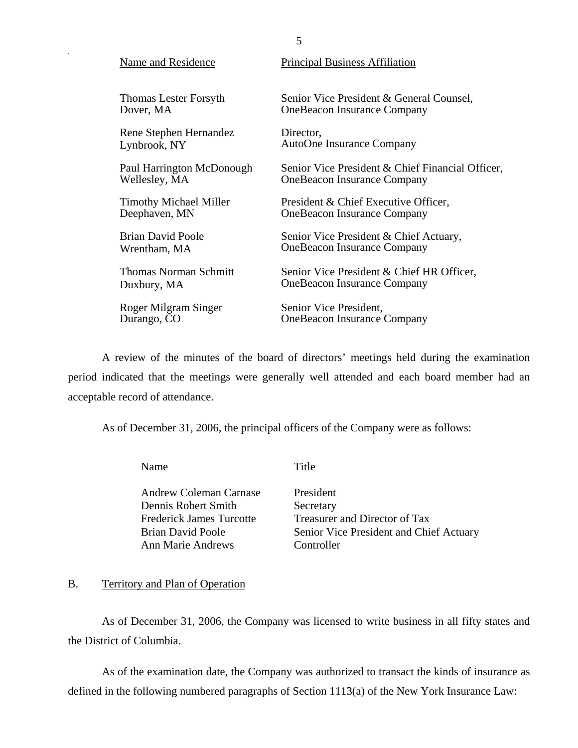| Thomas Lester Forsyth         | Senior Vice President & General Counsel,         |
|-------------------------------|--------------------------------------------------|
| Dover, MA                     | <b>OneBeacon Insurance Company</b>               |
| Rene Stephen Hernandez        | Director,                                        |
| Lynbrook, NY                  | AutoOne Insurance Company                        |
| Paul Harrington McDonough     | Senior Vice President & Chief Financial Officer, |
| Wellesley, MA                 | <b>OneBeacon Insurance Company</b>               |
| <b>Timothy Michael Miller</b> | President & Chief Executive Officer,             |
| Deephaven, MN                 | <b>OneBeacon Insurance Company</b>               |
| Brian David Poole             | Senior Vice President & Chief Actuary,           |
| Wrentham, MA                  | <b>OneBeacon Insurance Company</b>               |
| <b>Thomas Norman Schmitt</b>  | Senior Vice President & Chief HR Officer,        |
| Duxbury, MA                   | <b>OneBeacon Insurance Company</b>               |
| Roger Milgram Singer          | Senior Vice President,                           |
| Durango, CO                   | <b>OneBeacon Insurance Company</b>               |

A review of the minutes of the board of directors' meetings held during the examination period indicated that the meetings were generally well attended and each board member had an acceptable record of attendance.

As of December 31, 2006, the principal officers of the Company were as follows:

Name Title

Andrew Coleman Carnase Dennis Robert Smith Frederick James Turcotte Brian David Poole Ann Marie Andrews

President **Secretary** Treasurer and Director of Tax Senior Vice President and Chief Actuary Controller

## B. Territory and Plan of Operation

As of December 31, 2006, the Company was licensed to write business in all fifty states and the District of Columbia.

As of the examination date, the Company was authorized to transact the kinds of insurance as defined in the following numbered paragraphs of Section 1113(a) of the New York Insurance Law:

Name and Residence Principal Business Affiliation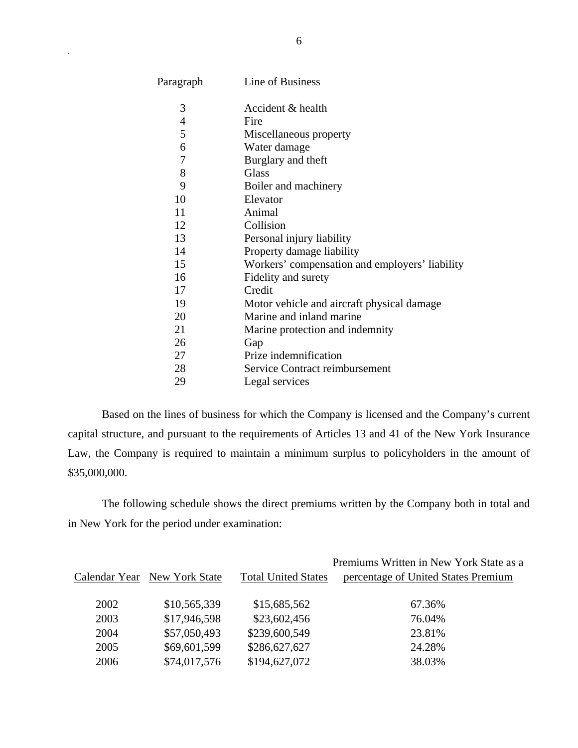| <u>Paragraph</u> | <b>Line of Business</b>                        |
|------------------|------------------------------------------------|
| 3                | Accident & health                              |
| $\overline{4}$   | Fire                                           |
| 5                | Miscellaneous property                         |
| 6                | Water damage                                   |
| $\overline{7}$   | Burglary and theft                             |
| 8                | <b>Glass</b>                                   |
| 9                | Boiler and machinery                           |
| 10               | Elevator                                       |
| 11               | Animal                                         |
| 12               | Collision                                      |
| 13               | Personal injury liability                      |
| 14               | Property damage liability                      |
| 15               | Workers' compensation and employers' liability |
| 16               | Fidelity and surety                            |
| 17               | Credit                                         |
| 19               | Motor vehicle and aircraft physical damage.    |
| 20               | Marine and inland marine                       |
| 21               | Marine protection and indemnity                |
| 26               | Gap                                            |
| 27               | Prize indemnification                          |
| 28               | Service Contract reimbursement                 |
| 29               | Legal services                                 |

Based on the lines of business for which the Company is licensed and the Company's current capital structure, and pursuant to the requirements of Articles 13 and 41 of the New York Insurance Law, the Company is required to maintain a minimum surplus to policyholders in the amount of \$35,000,000.

The following schedule shows the direct premiums written by the Company both in total and in New York for the period under examination:

|      |                              |                            | Premiums Written in New York State as a |
|------|------------------------------|----------------------------|-----------------------------------------|
|      | Calendar Year New York State | <b>Total United States</b> | percentage of United States Premium     |
| 2002 | \$10,565,339                 | \$15,685,562               | 67.36%                                  |
| 2003 | \$17,946,598                 | \$23,602,456               | 76.04%                                  |
| 2004 | \$57,050,493                 | \$239,600,549              | 23.81%                                  |
| 2005 | \$69,601,599                 | \$286,627,627              | 24.28%                                  |
| 2006 | \$74,017,576                 | \$194,627,072              | 38.03%                                  |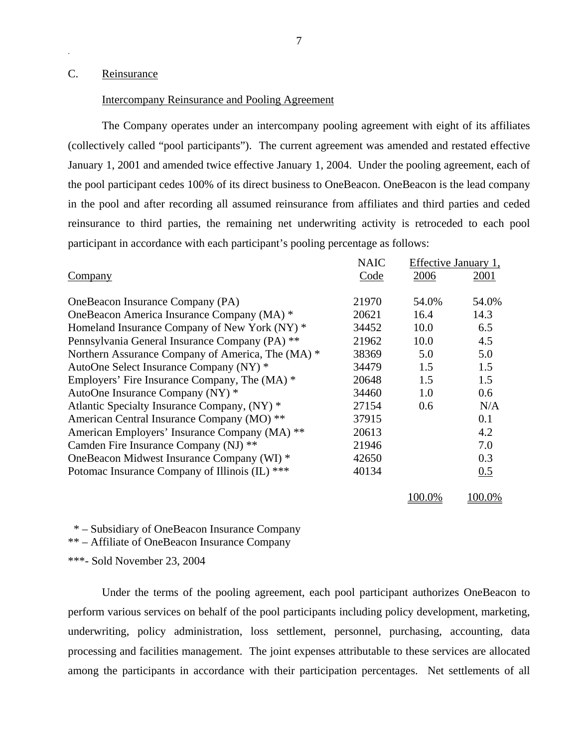## <span id="page-8-0"></span>C. Reinsurance

#### Intercompany Reinsurance and Pooling Agreement

The Company operates under an intercompany pooling agreement with eight of its affiliates (collectively called "pool participants"). The current agreement was amended and restated effective January 1, 2001 and amended twice effective January 1, 2004. Under the pooling agreement, each of the pool participant cedes 100% of its direct business to OneBeacon. OneBeacon is the lead company in the pool and after recording all assumed reinsurance from affiliates and third parties and ceded reinsurance to third parties, the remaining net underwriting activity is retroceded to each pool participant in accordance with each participant's pooling percentage as follows:

|                                                   | <b>NAIC</b> |        | Effective January 1, |
|---------------------------------------------------|-------------|--------|----------------------|
| <b>Company</b>                                    | Code        | 2006   | 2001                 |
| OneBeacon Insurance Company (PA)                  | 21970       | 54.0%  | 54.0%                |
| OneBeacon America Insurance Company (MA) *        | 20621       | 16.4   | 14.3                 |
| Homeland Insurance Company of New York (NY) *     | 34452       | 10.0   | 6.5                  |
| Pennsylvania General Insurance Company (PA) **    | 21962       | 10.0   | 4.5                  |
| Northern Assurance Company of America, The (MA) * | 38369       | 5.0    | 5.0                  |
| AutoOne Select Insurance Company (NY) *           | 34479       | 1.5    | 1.5                  |
| Employers' Fire Insurance Company, The (MA) *     | 20648       | 1.5    | 1.5                  |
| AutoOne Insurance Company (NY) *                  | 34460       | 1.0    | 0.6                  |
| Atlantic Specialty Insurance Company, (NY) *      | 27154       | 0.6    | N/A                  |
| American Central Insurance Company (MO) **        | 37915       |        | 0.1                  |
| American Employers' Insurance Company (MA) **     | 20613       |        | 4.2                  |
| Camden Fire Insurance Company (NJ) **             | 21946       |        | 7.0                  |
| OneBeacon Midwest Insurance Company (WI) *        | 42650       |        | 0.3                  |
| Potomac Insurance Company of Illinois (IL) ***    | 40134       |        | 0.5                  |
|                                                   |             | 100.0% | 100.0%               |

\* – Subsidiary of OneBeacon Insurance Company

\*\* – Affiliate of OneBeacon Insurance Company

\*\*\*- Sold November 23, 2004

Under the terms of the pooling agreement, each pool participant authorizes OneBeacon to perform various services on behalf of the pool participants including policy development, marketing, underwriting, policy administration, loss settlement, personnel, purchasing, accounting, data processing and facilities management. The joint expenses attributable to these services are allocated among the participants in accordance with their participation percentages. Net settlements of all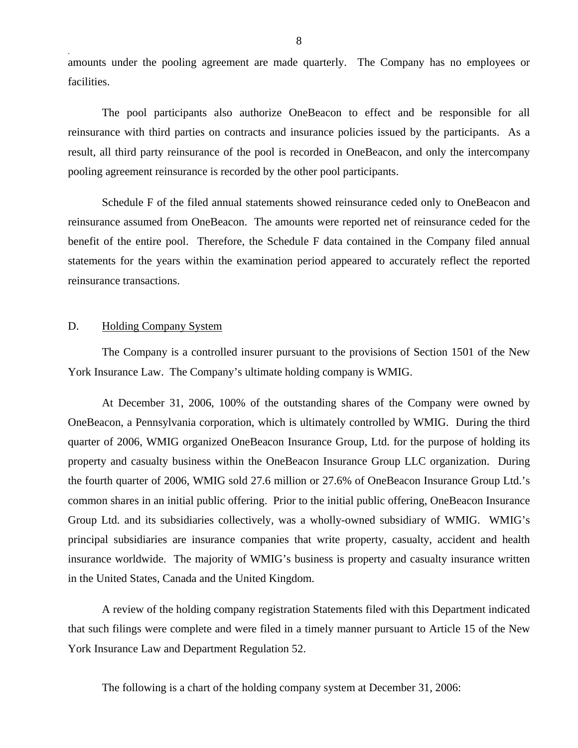<span id="page-9-0"></span>amounts under the pooling agreement are made quarterly. The Company has no employees or facilities.

The pool participants also authorize OneBeacon to effect and be responsible for all reinsurance with third parties on contracts and insurance policies issued by the participants. As a result, all third party reinsurance of the pool is recorded in OneBeacon, and only the intercompany pooling agreement reinsurance is recorded by the other pool participants.

Schedule F of the filed annual statements showed reinsurance ceded only to OneBeacon and reinsurance assumed from OneBeacon. The amounts were reported net of reinsurance ceded for the benefit of the entire pool. Therefore, the Schedule F data contained in the Company filed annual statements for the years within the examination period appeared to accurately reflect the reported reinsurance transactions.

## D. Holding Company System

The Company is a controlled insurer pursuant to the provisions of Section 1501 of the New York Insurance Law. The Company's ultimate holding company is WMIG.

At December 31, 2006, 100% of the outstanding shares of the Company were owned by OneBeacon, a Pennsylvania corporation, which is ultimately controlled by WMIG. During the third quarter of 2006, WMIG organized OneBeacon Insurance Group, Ltd. for the purpose of holding its property and casualty business within the OneBeacon Insurance Group LLC organization. During the fourth quarter of 2006, WMIG sold 27.6 million or 27.6% of OneBeacon Insurance Group Ltd.'s common shares in an initial public offering. Prior to the initial public offering, OneBeacon Insurance Group Ltd. and its subsidiaries collectively, was a wholly-owned subsidiary of WMIG. WMIG's principal subsidiaries are insurance companies that write property, casualty, accident and health insurance worldwide. The majority of WMIG's business is property and casualty insurance written in the United States, Canada and the United Kingdom.

A review of the holding company registration Statements filed with this Department indicated that such filings were complete and were filed in a timely manner pursuant to Article 15 of the New York Insurance Law and Department Regulation 52.

The following is a chart of the holding company system at December 31, 2006: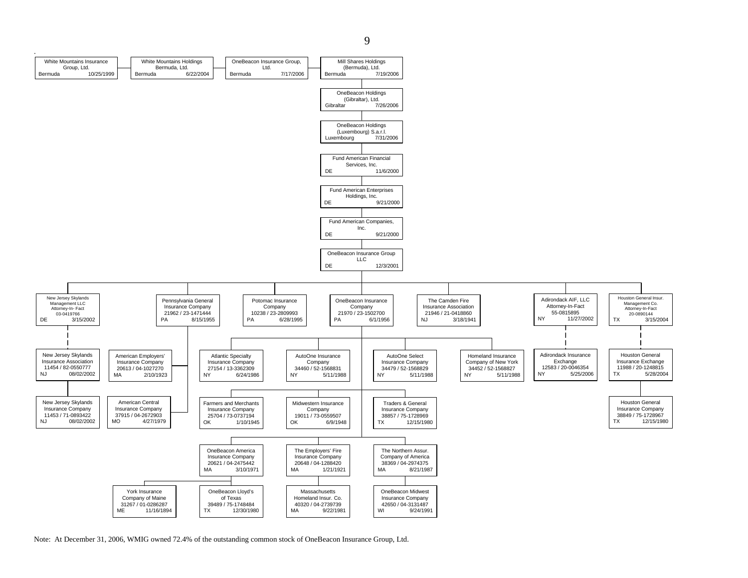



Note: At December 31, 2006, WMIG owned 72.4% of the outstanding common stock of OneBeacon Insurance Group, Ltd.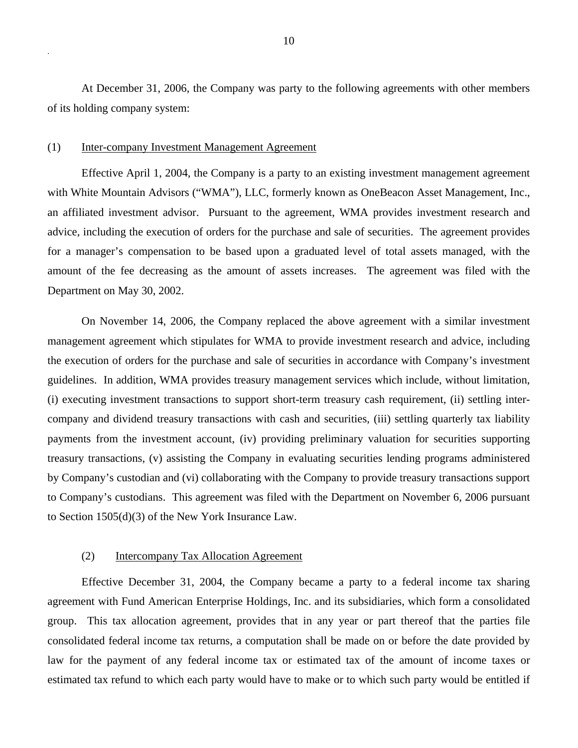At December 31, 2006, the Company was party to the following agreements with other members of its holding company system:

#### (1) Inter-company Investment Management Agreement

.

Effective April 1, 2004, the Company is a party to an existing investment management agreement with White Mountain Advisors ("WMA"), LLC, formerly known as OneBeacon Asset Management, Inc., an affiliated investment advisor. Pursuant to the agreement, WMA provides investment research and advice, including the execution of orders for the purchase and sale of securities. The agreement provides for a manager's compensation to be based upon a graduated level of total assets managed, with the amount of the fee decreasing as the amount of assets increases. The agreement was filed with the Department on May 30, 2002.

On November 14, 2006, the Company replaced the above agreement with a similar investment management agreement which stipulates for WMA to provide investment research and advice, including the execution of orders for the purchase and sale of securities in accordance with Company's investment guidelines. In addition, WMA provides treasury management services which include, without limitation, (i) executing investment transactions to support short-term treasury cash requirement, (ii) settling intercompany and dividend treasury transactions with cash and securities, (iii) settling quarterly tax liability payments from the investment account, (iv) providing preliminary valuation for securities supporting treasury transactions, (v) assisting the Company in evaluating securities lending programs administered by Company's custodian and (vi) collaborating with the Company to provide treasury transactions support to Company's custodians. This agreement was filed with the Department on November 6, 2006 pursuant to Section 1505(d)(3) of the New York Insurance Law.

## (2) Intercompany Tax Allocation Agreement

Effective December 31, 2004, the Company became a party to a federal income tax sharing agreement with Fund American Enterprise Holdings, Inc. and its subsidiaries, which form a consolidated group. This tax allocation agreement, provides that in any year or part thereof that the parties file consolidated federal income tax returns, a computation shall be made on or before the date provided by law for the payment of any federal income tax or estimated tax of the amount of income taxes or estimated tax refund to which each party would have to make or to which such party would be entitled if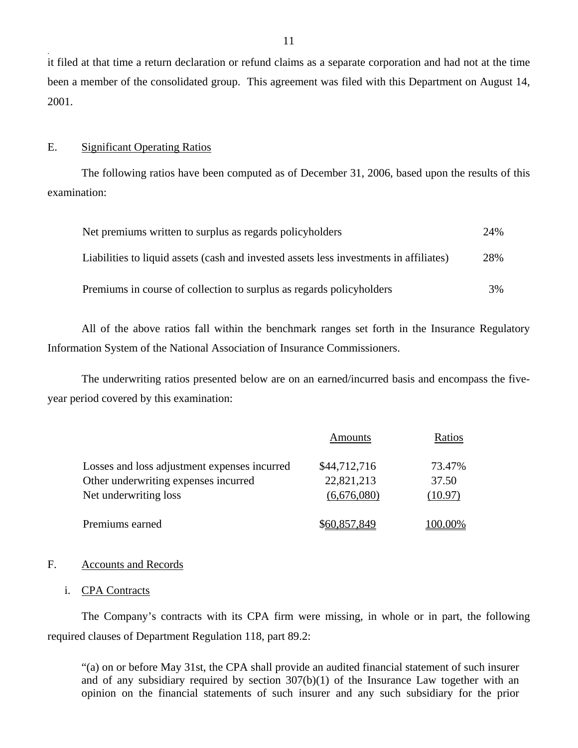it filed at that time a return declaration or refund claims as a separate corporation and had not at the time been a member of the consolidated group. This agreement was filed with this Department on August 14, 2001.

#### E. Significant Operating Ratios

The following ratios have been computed as of December 31, 2006, based upon the results of this examination:

| Net premiums written to surplus as regards policyholders                               | 24% |
|----------------------------------------------------------------------------------------|-----|
| Liabilities to liquid assets (cash and invested assets less investments in affiliates) | 28% |
| Premiums in course of collection to surplus as regards policyholders                   | 3%  |

All of the above ratios fall within the benchmark ranges set forth in the Insurance Regulatory Information System of the National Association of Insurance Commissioners.

The underwriting ratios presented below are on an earned/incurred basis and encompass the fiveyear period covered by this examination:

|                                              | Amounts      | Ratios  |
|----------------------------------------------|--------------|---------|
| Losses and loss adjustment expenses incurred | \$44,712,716 | 73.47%  |
| Other underwriting expenses incurred         | 22,821,213   | 37.50   |
| Net underwriting loss                        | (6,676,080)  | (10.97) |
| Premiums earned                              | \$60,857,849 | 100.00% |

## F. Accounts and Records

i. CPA Contracts

The Company's contracts with its CPA firm were missing, in whole or in part, the following required clauses of Department Regulation 118, part 89.2:

"(a) on or before May 31st, the CPA shall provide an audited financial statement of such insurer and of any subsidiary required by section 307(b)(1) of the Insurance Law together with an opinion on the financial statements of such insurer and any such subsidiary for the prior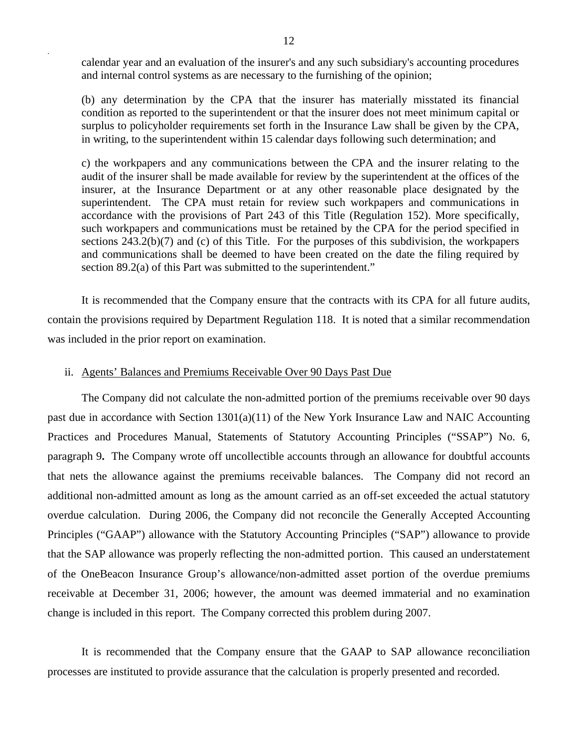calendar year and an evaluation of the insurer's and any such subsidiary's accounting procedures and internal control systems as are necessary to the furnishing of the opinion;

(b) any determination by the CPA that the insurer has materially misstated its financial condition as reported to the superintendent or that the insurer does not meet minimum capital or surplus to policyholder requirements set forth in the Insurance Law shall be given by the CPA, in writing, to the superintendent within 15 calendar days following such determination; and

c) the workpapers and any communications between the CPA and the insurer relating to the audit of the insurer shall be made available for review by the superintendent at the offices of the insurer, at the Insurance Department or at any other reasonable place designated by the superintendent. The CPA must retain for review such workpapers and communications in accordance with the provisions of Part 243 of this Title (Regulation 152). More specifically, such workpapers and communications must be retained by the CPA for the period specified in sections 243.2(b)(7) and (c) of this Title. For the purposes of this subdivision, the workpapers and communications shall be deemed to have been created on the date the filing required by section 89.2(a) of this Part was submitted to the superintendent."

It is recommended that the Company ensure that the contracts with its CPA for all future audits, contain the provisions required by Department Regulation 118. It is noted that a similar recommendation was included in the prior report on examination.

#### ii. Agents' Balances and Premiums Receivable Over 90 Days Past Due

The Company did not calculate the non-admitted portion of the premiums receivable over 90 days past due in accordance with Section 1301(a)(11) of the New York Insurance Law and NAIC Accounting Practices and Procedures Manual, Statements of Statutory Accounting Principles ("SSAP") No. 6, paragraph 9**.** The Company wrote off uncollectible accounts through an allowance for doubtful accounts that nets the allowance against the premiums receivable balances. The Company did not record an additional non-admitted amount as long as the amount carried as an off-set exceeded the actual statutory overdue calculation. During 2006, the Company did not reconcile the Generally Accepted Accounting Principles ("GAAP") allowance with the Statutory Accounting Principles ("SAP") allowance to provide that the SAP allowance was properly reflecting the non-admitted portion. This caused an understatement of the OneBeacon Insurance Group's allowance/non-admitted asset portion of the overdue premiums receivable at December 31, 2006; however, the amount was deemed immaterial and no examination change is included in this report. The Company corrected this problem during 2007.

It is recommended that the Company ensure that the GAAP to SAP allowance reconciliation processes are instituted to provide assurance that the calculation is properly presented and recorded.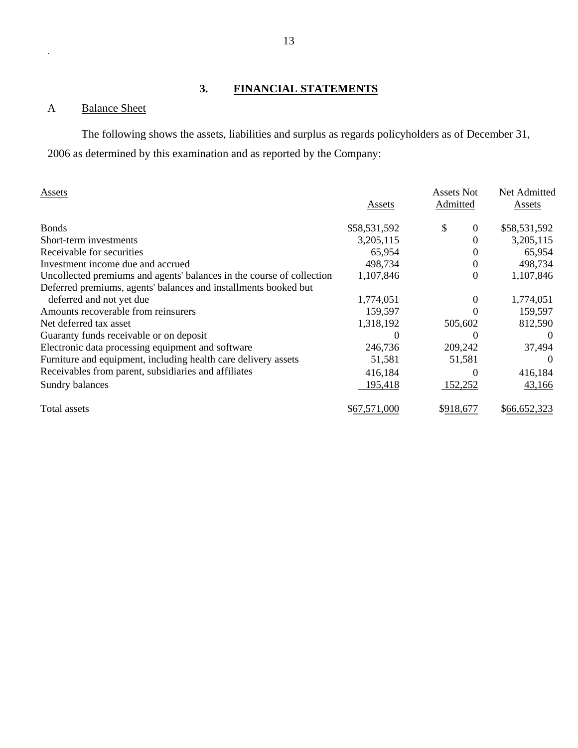## **3. FINANCIAL STATEMENTS**

## A Balance Sheet

The following shows the assets, liabilities and surplus as regards policyholders as of December 31, 2006 as determined by this examination and as reported by the Company:

| Assets                                                                |              | Assets Not     | Net Admitted |
|-----------------------------------------------------------------------|--------------|----------------|--------------|
|                                                                       | Assets       | Admitted       | Assets       |
| <b>Bonds</b>                                                          | \$58,531,592 | \$<br>$\theta$ | \$58,531,592 |
| Short-term investments                                                | 3,205,115    | $\theta$       | 3,205,115    |
| Receivable for securities                                             | 65,954       | $\Omega$       | 65,954       |
| Investment income due and accrued                                     | 498,734      | $\Omega$       | 498,734      |
| Uncollected premiums and agents' balances in the course of collection | 1,107,846    | $\Omega$       | 1,107,846    |
| Deferred premiums, agents' balances and installments booked but       |              |                |              |
| deferred and not yet due                                              | 1,774,051    | $\theta$       | 1,774,051    |
| Amounts recoverable from reinsurers                                   | 159,597      |                | 159,597      |
| Net deferred tax asset                                                | 1,318,192    | 505,602        | 812,590      |
| Guaranty funds receivable or on deposit                               |              |                | $\theta$     |
| Electronic data processing equipment and software                     | 246,736      | 209,242        | 37,494       |
| Furniture and equipment, including health care delivery assets        | 51,581       | 51,581         | $\theta$     |
| Receivables from parent, subsidiaries and affiliates                  | 416,184      | $\Omega$       | 416,184      |
| Sundry balances                                                       | 195,418      | 152,252        | 43,166       |
| Total assets                                                          | \$67,571,000 | \$918,677      | \$66,652,323 |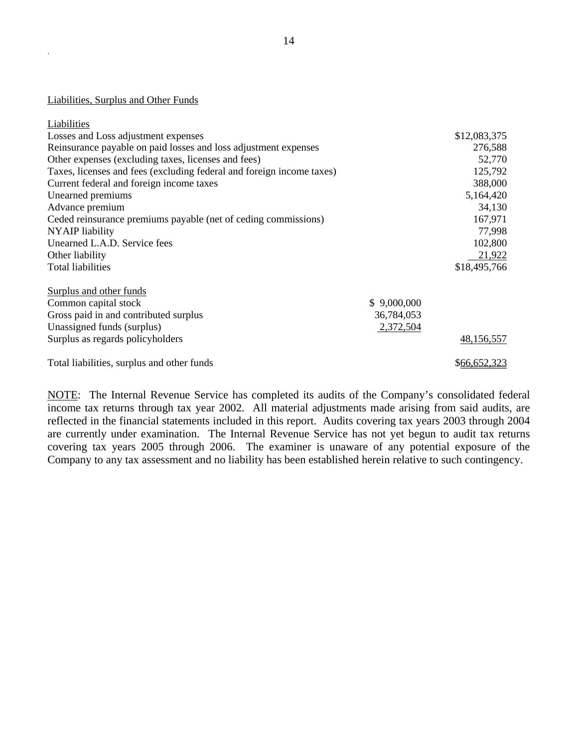Liabilities, Surplus and Other Funds

| Liabilities                                                           |             |              |
|-----------------------------------------------------------------------|-------------|--------------|
| Losses and Loss adjustment expenses                                   |             | \$12,083,375 |
| Reinsurance payable on paid losses and loss adjustment expenses       |             | 276,588      |
| Other expenses (excluding taxes, licenses and fees)                   |             | 52,770       |
| Taxes, licenses and fees (excluding federal and foreign income taxes) |             | 125,792      |
| Current federal and foreign income taxes                              |             | 388,000      |
| Unearned premiums                                                     |             | 5,164,420    |
| Advance premium                                                       |             | 34,130       |
| Ceded reinsurance premiums payable (net of ceding commissions)        |             | 167,971      |
| <b>NYAIP</b> liability                                                |             | 77,998       |
| Unearned L.A.D. Service fees                                          |             | 102,800      |
| Other liability                                                       |             | 21,922       |
| <b>Total liabilities</b>                                              |             | \$18,495,766 |
| Surplus and other funds                                               |             |              |
| Common capital stock                                                  | \$9,000,000 |              |
| Gross paid in and contributed surplus                                 | 36,784,053  |              |
| Unassigned funds (surplus)                                            | 2,372,504   |              |
| Surplus as regards policyholders                                      |             | 48,156,557   |
| Total liabilities, surplus and other funds                            |             | \$66,652,323 |

NOTE: The Internal Revenue Service has completed its audits of the Company's consolidated federal income tax returns through tax year 2002. All material adjustments made arising from said audits, are reflected in the financial statements included in this report. Audits covering tax years 2003 through 2004 are currently under examination. The Internal Revenue Service has not yet begun to audit tax returns covering tax years 2005 through 2006. The examiner is unaware of any potential exposure of the Company to any tax assessment and no liability has been established herein relative to such contingency.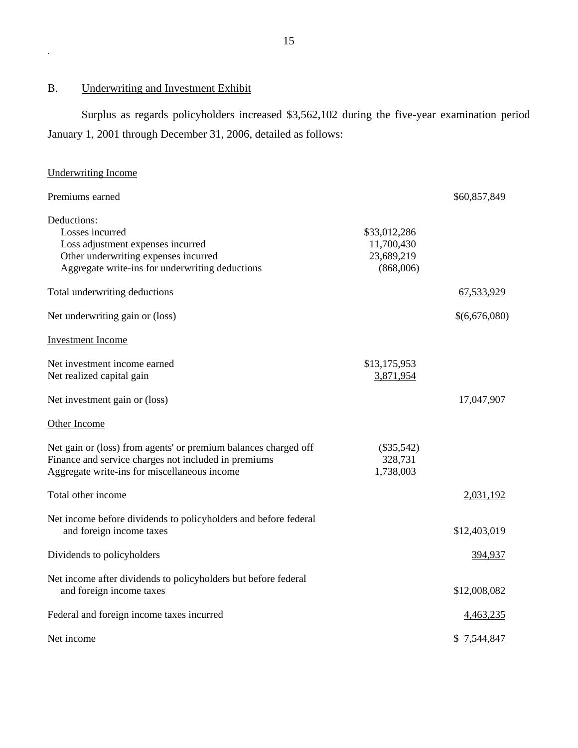## B. Underwriting and Investment Exhibit

Surplus as regards policyholders increased \$3,562,102 during the five-year examination period January 1, 2001 through December 31, 2006, detailed as follows:

| <b>Underwriting Income</b>                                                                                                                                              |                                                       |               |
|-------------------------------------------------------------------------------------------------------------------------------------------------------------------------|-------------------------------------------------------|---------------|
| Premiums earned                                                                                                                                                         |                                                       | \$60,857,849  |
| Deductions:<br>Losses incurred<br>Loss adjustment expenses incurred<br>Other underwriting expenses incurred<br>Aggregate write-ins for underwriting deductions          | \$33,012,286<br>11,700,430<br>23,689,219<br>(868,006) |               |
| Total underwriting deductions                                                                                                                                           |                                                       | 67,533,929    |
| Net underwriting gain or (loss)                                                                                                                                         |                                                       | \$(6,676,080) |
| <b>Investment Income</b>                                                                                                                                                |                                                       |               |
| Net investment income earned<br>Net realized capital gain                                                                                                               | \$13,175,953<br>3,871,954                             |               |
| Net investment gain or (loss)                                                                                                                                           |                                                       | 17,047,907    |
| Other Income                                                                                                                                                            |                                                       |               |
| Net gain or (loss) from agents' or premium balances charged off<br>Finance and service charges not included in premiums<br>Aggregate write-ins for miscellaneous income | $(\$35,542)$<br>328,731<br>1,738,003                  |               |
| Total other income                                                                                                                                                      |                                                       | 2,031,192     |
| Net income before dividends to policyholders and before federal<br>and foreign income taxes                                                                             |                                                       | \$12,403,019  |
| Dividends to policyholders                                                                                                                                              |                                                       | 394,937       |
| Net income after dividends to policyholders but before federal<br>and foreign income taxes                                                                              |                                                       | \$12,008,082  |
| Federal and foreign income taxes incurred                                                                                                                               |                                                       | 4,463,235     |
| Net income                                                                                                                                                              |                                                       | \$7,544,847   |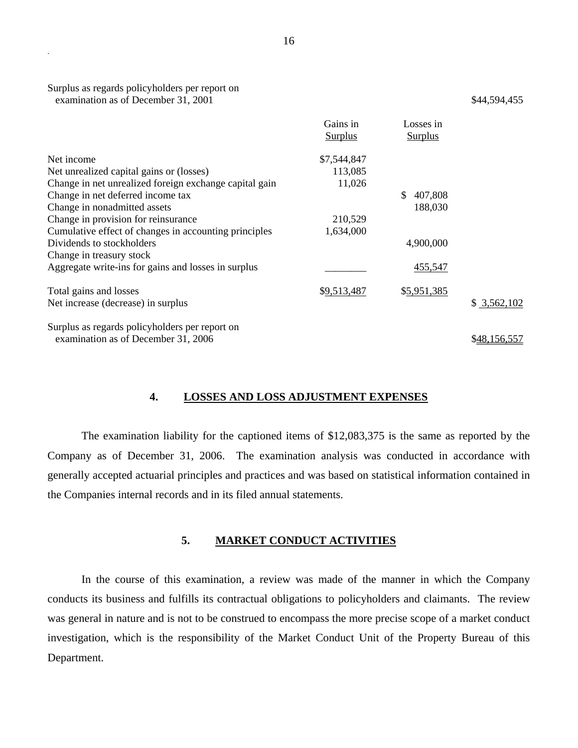| Surplus as regards policyholders per report on |              |
|------------------------------------------------|--------------|
| examination as of December 31, 2001            | \$44,594,455 |

|                                                        | Gains in<br><b>Surplus</b> | Losses in<br><b>Surplus</b> |              |
|--------------------------------------------------------|----------------------------|-----------------------------|--------------|
|                                                        |                            |                             |              |
| Net income                                             | \$7,544,847                |                             |              |
| Net unrealized capital gains or (losses)               | 113,085                    |                             |              |
| Change in net unrealized foreign exchange capital gain | 11,026                     |                             |              |
| Change in net deferred income tax                      |                            | 407,808<br>\$               |              |
| Change in nonadmitted assets                           |                            | 188,030                     |              |
| Change in provision for reinsurance                    | 210,529                    |                             |              |
| Cumulative effect of changes in accounting principles  | 1,634,000                  |                             |              |
| Dividends to stockholders                              |                            | 4,900,000                   |              |
| Change in treasury stock                               |                            |                             |              |
| Aggregate write-ins for gains and losses in surplus    |                            | 455,547                     |              |
| Total gains and losses                                 | \$9,513,487                | \$5,951,385                 |              |
| Net increase (decrease) in surplus                     |                            |                             | \$3,562,102  |
| Surplus as regards policyholders per report on         |                            |                             |              |
| examination as of December 31, 2006                    |                            |                             | \$48,156,557 |

#### **4. LOSSES AND LOSS ADJUSTMENT EXPENSES**

The examination liability for the captioned items of \$12,083,375 is the same as reported by the Company as of December 31, 2006. The examination analysis was conducted in accordance with generally accepted actuarial principles and practices and was based on statistical information contained in the Companies internal records and in its filed annual statements.

## **5. MARKET CONDUCT ACTIVITIES**

In the course of this examination, a review was made of the manner in which the Company conducts its business and fulfills its contractual obligations to policyholders and claimants. The review was general in nature and is not to be construed to encompass the more precise scope of a market conduct investigation, which is the responsibility of the Market Conduct Unit of the Property Bureau of this Department.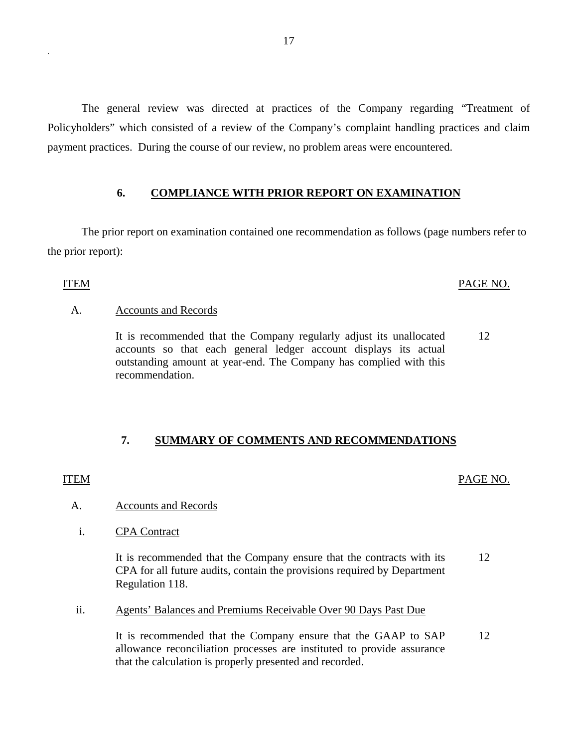The general review was directed at practices of the Company regarding "Treatment of Policyholders" which consisted of a review of the Company's complaint handling practices and claim payment practices. During the course of our review, no problem areas were encountered.

## **6. COMPLIANCE WITH PRIOR REPORT ON EXAMINATION**

The prior report on examination contained one recommendation as follows (page numbers refer to the prior report):

## ITEM PAGE NO.

## A. Accounts and Records

It is recommended that the Company regularly adjust its unallocated accounts so that each general ledger account displays its actual outstanding amount at year-end. The Company has complied with this recommendation. 12

## **7. SUMMARY OF COMMENTS AND RECOMMENDATIONS**

## ITEM PAGE NO.

## A. Accounts and Records

i. CPA Contract

It is recommended that the Company ensure that the contracts with its CPA for all future audits, contain the provisions required by Department Regulation 118. 12

ii. Agents' Balances and Premiums Receivable Over 90 Days Past Due

It is recommended that the Company ensure that the GAAP to SAP allowance reconciliation processes are instituted to provide assurance that the calculation is properly presented and recorded. 12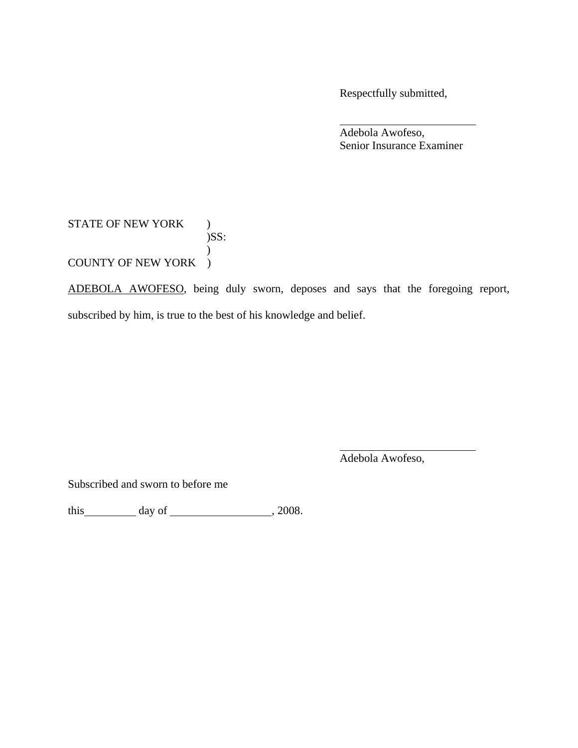Respectfully submitted,

 Adebola Awofeso, Senior Insurance Examiner

## STATE OF NEW YORK ) )SS:  $\mathcal{L}$ COUNTY OF NEW YORK )

ADEBOLA AWOFESO, being duly sworn, deposes and says that the foregoing report, subscribed by him, is true to the best of his knowledge and belief.

Adebola Awofeso,

Subscribed and sworn to before me

this  $\_\_$  day of  $\_\_\_$ , 2008.